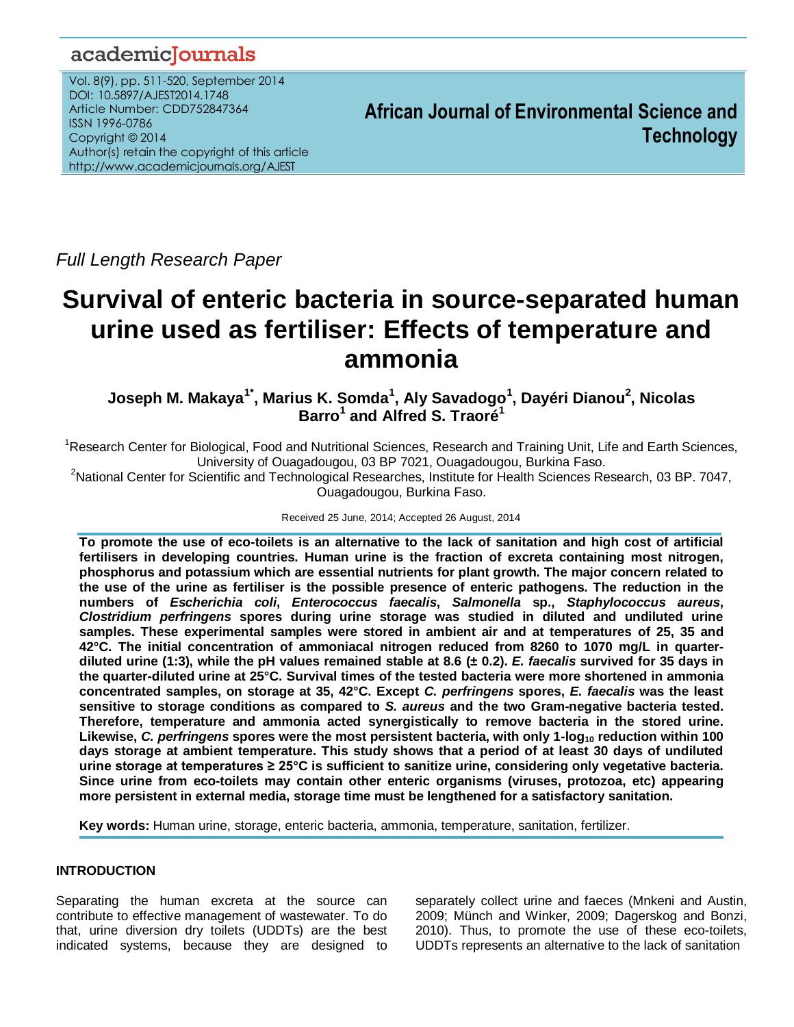# academicJournals

Vol. 8(9), pp. 511-520, September 2014 DOI: 10.5897/AJEST2014.1748 Article Number: CDD752847364 ISSN 1996-0786 Copyright © 2014 Author(s) retain the copyright of this article http://www.academicjournals.org/AJEST

**African Journal of Environmental Science and Technology**

*Full Length Research Paper*

# **Survival of enteric bacteria in source-separated human urine used as fertiliser: Effects of temperature and ammonia**

**Joseph M. Makaya1\*, Marius K. Somda<sup>1</sup> , Aly Savadogo<sup>1</sup> , Dayéri Dianou<sup>2</sup> , Nicolas Barro<sup>1</sup> and Alfred S. Traoré<sup>1</sup>**

<sup>1</sup>Research Center for Biological, Food and Nutritional Sciences, Research and Training Unit, Life and Earth Sciences, University of Ouagadougou, 03 BP 7021, Ouagadougou, Burkina Faso.

<sup>2</sup>National Center for Scientific and Technological Researches, Institute for Health Sciences Research, 03 BP. 7047, Ouagadougou, Burkina Faso.

Received 25 June, 2014; Accepted 26 August, 2014

**To promote the use of eco-toilets is an alternative to the lack of sanitation and high cost of artificial fertilisers in developing countries. Human urine is the fraction of excreta containing most nitrogen, phosphorus and potassium which are essential nutrients for plant growth. The major concern related to the use of the urine as fertiliser is the possible presence of enteric pathogens. The reduction in the numbers of** *Escherichia coli***,** *Enterococcus faecalis***,** *Salmonella* **sp.,** *Staphylococcus aureus***,**  *Clostridium perfringens* **spores during urine storage was studied in diluted and undiluted urine samples. These experimental samples were stored in ambient air and at temperatures of 25, 35 and 42°C. The initial concentration of ammoniacal nitrogen reduced from 8260 to 1070 mg/L in quarterdiluted urine (1:3), while the pH values remained stable at 8.6 (± 0.2).** *E. faecalis* **survived for 35 days in the quarter-diluted urine at 25°C. Survival times of the tested bacteria were more shortened in ammonia concentrated samples, on storage at 35, 42°C. Except** *C. perfringens* **spores,** *E. faecalis* **was the least sensitive to storage conditions as compared to** *S. aureus* **and the two Gram-negative bacteria tested. Therefore, temperature and ammonia acted synergistically to remove bacteria in the stored urine.**  Likewise, *C. perfringens* spores were the most persistent bacteria, with only 1-log<sub>10</sub> reduction within 100 **days storage at ambient temperature. This study shows that a period of at least 30 days of undiluted urine storage at temperatures ≥ 25°C is sufficient to sanitize urine, considering only vegetative bacteria. Since urine from eco-toilets may contain other enteric organisms (viruses, protozoa, etc) appearing more persistent in external media, storage time must be lengthened for a satisfactory sanitation.** 

**Key words:** Human urine, storage, enteric bacteria, ammonia, temperature, sanitation, fertilizer.

# **INTRODUCTION**

Separating the human excreta at the source can contribute to effective management of wastewater. To do that, urine diversion dry toilets (UDDTs) are the best indicated systems, because they are designed to separately collect urine and faeces (Mnkeni and Austin, 2009; Münch and Winker, 2009; Dagerskog and Bonzi, 2010). Thus, to promote the use of these eco-toilets, UDDTs represents an alternative to the lack of sanitation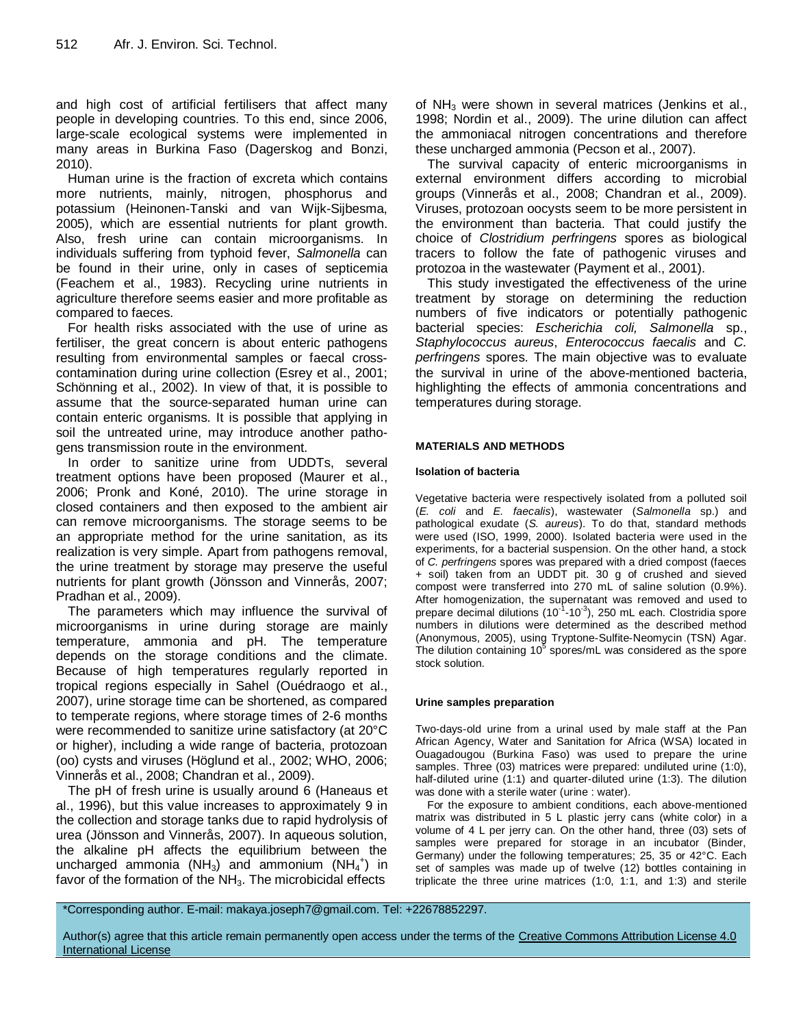and high cost of artificial fertilisers that affect many people in developing countries. To this end, since 2006, large-scale ecological systems were implemented in many areas in Burkina Faso (Dagerskog and Bonzi, 2010).

Human urine is the fraction of excreta which contains more nutrients, mainly, nitrogen, phosphorus and potassium (Heinonen-Tanski and van Wijk-Sijbesma, 2005), which are essential nutrients for plant growth. Also, fresh urine can contain microorganisms. In individuals suffering from typhoid fever, *Salmonella* can be found in their urine, only in cases of septicemia (Feachem et al., 1983). Recycling urine nutrients in agriculture therefore seems easier and more profitable as compared to faeces.

For health risks associated with the use of urine as fertiliser, the great concern is about enteric pathogens resulting from environmental samples or faecal crosscontamination during urine collection (Esrey et al., 2001; Schönning et al., 2002). In view of that, it is possible to assume that the source-separated human urine can contain enteric organisms. It is possible that applying in soil the untreated urine, may introduce another pathogens transmission route in the environment.

In order to sanitize urine from UDDTs, several treatment options have been proposed (Maurer et al., 2006; Pronk and Koné, 2010). The urine storage in closed containers and then exposed to the ambient air can remove microorganisms. The storage seems to be an appropriate method for the urine sanitation, as its realization is very simple. Apart from pathogens removal, the urine treatment by storage may preserve the useful nutrients for plant growth (Jönsson and Vinnerås, 2007; Pradhan et al., 2009).

The parameters which may influence the survival of microorganisms in urine during storage are mainly temperature, ammonia and pH. The temperature depends on the storage conditions and the climate. Because of high temperatures regularly reported in tropical regions especially in Sahel (Ouédraogo et al., 2007), urine storage time can be shortened, as compared to temperate regions, where storage times of 2-6 months were recommended to sanitize urine satisfactory (at 20°C or higher), including a wide range of bacteria, protozoan (oo) cysts and viruses (Höglund et al., 2002; WHO, 2006; Vinnerås et al., 2008; Chandran et al., 2009).

The pH of fresh urine is usually around 6 (Haneaus et al., 1996), but this value increases to approximately 9 in the collection and storage tanks due to rapid hydrolysis of urea (Jönsson and Vinnerås, 2007). In aqueous solution, the alkaline pH affects the equilibrium between the uncharged ammonia (NH<sub>3</sub>) and ammonium  $(NH_4^+)$  in favor of the formation of the  $NH<sub>3</sub>$ . The microbicidal effects

of  $NH<sub>3</sub>$  were shown in several matrices (Jenkins et al., 1998; Nordin et al., 2009). The urine dilution can affect the ammoniacal nitrogen concentrations and therefore these uncharged ammonia (Pecson et al., 2007).

The survival capacity of enteric microorganisms in external environment differs according to microbial groups (Vinnerås et al., 2008; Chandran et al., 2009). Viruses, protozoan oocysts seem to be more persistent in the environment than bacteria. That could justify the choice of *Clostridium perfringens* spores as biological tracers to follow the fate of pathogenic viruses and protozoa in the wastewater (Payment et al., 2001).

This study investigated the effectiveness of the urine treatment by storage on determining the reduction numbers of five indicators or potentially pathogenic bacterial species: *Escherichia coli, Salmonella* sp., *Staphylococcus aureus*, *Enterococcus faecalis* and *C. perfringens* spores. The main objective was to evaluate the survival in urine of the above-mentioned bacteria, highlighting the effects of ammonia concentrations and temperatures during storage.

# **MATERIALS AND METHODS**

#### **Isolation of bacteria**

Vegetative bacteria were respectively isolated from a polluted soil (*E. coli* and *E. faecalis*), wastewater (*Salmonella* sp.) and pathological exudate (*S. aureus*). To do that, standard methods were used (ISO, 1999, 2000). Isolated bacteria were used in the experiments, for a bacterial suspension. On the other hand, a stock of *C. perfringens* spores was prepared with a dried compost (faeces + soil) taken from an UDDT pit. 30 g of crushed and sieved compost were transferred into 270 mL of saline solution (0.9%). After homogenization, the supernatant was removed and used to prepare decimal dilutions (10<sup>-1</sup>-10<sup>-3</sup>), 250 mL each. Clostridia spore numbers in dilutions were determined as the described method (Anonymous, 2005), using Tryptone-Sulfite-Neomycin (TSN) Agar. The dilution containing  $10^5$  spores/mL was considered as the spore stock solution.

#### **Urine samples preparation**

Two-days-old urine from a urinal used by male staff at the Pan African Agency, Water and Sanitation for Africa (WSA) located in Ouagadougou (Burkina Faso) was used to prepare the urine samples. Three (03) matrices were prepared: undiluted urine (1:0), half-diluted urine (1:1) and quarter-diluted urine (1:3). The dilution was done with a sterile water (urine : water).

For the exposure to ambient conditions, each above-mentioned matrix was distributed in 5 L plastic jerry cans (white color) in a volume of 4 L per jerry can. On the other hand, three (03) sets of samples were prepared for storage in an incubator (Binder, Germany) under the following temperatures; 25, 35 or 42°C. Each set of samples was made up of twelve (12) bottles containing in triplicate the three urine matrices (1:0, 1:1, and 1:3) and sterile

\*Corresponding author. E-mail: makaya.joseph7@gmail.com. Tel: +22678852297.

Author(s) agree that this article remain permanently open access under the terms of the Creative Commons Attribution License 4.0 [International License](http://creativecommons.org/licenses/by/4.0/deed.en_US)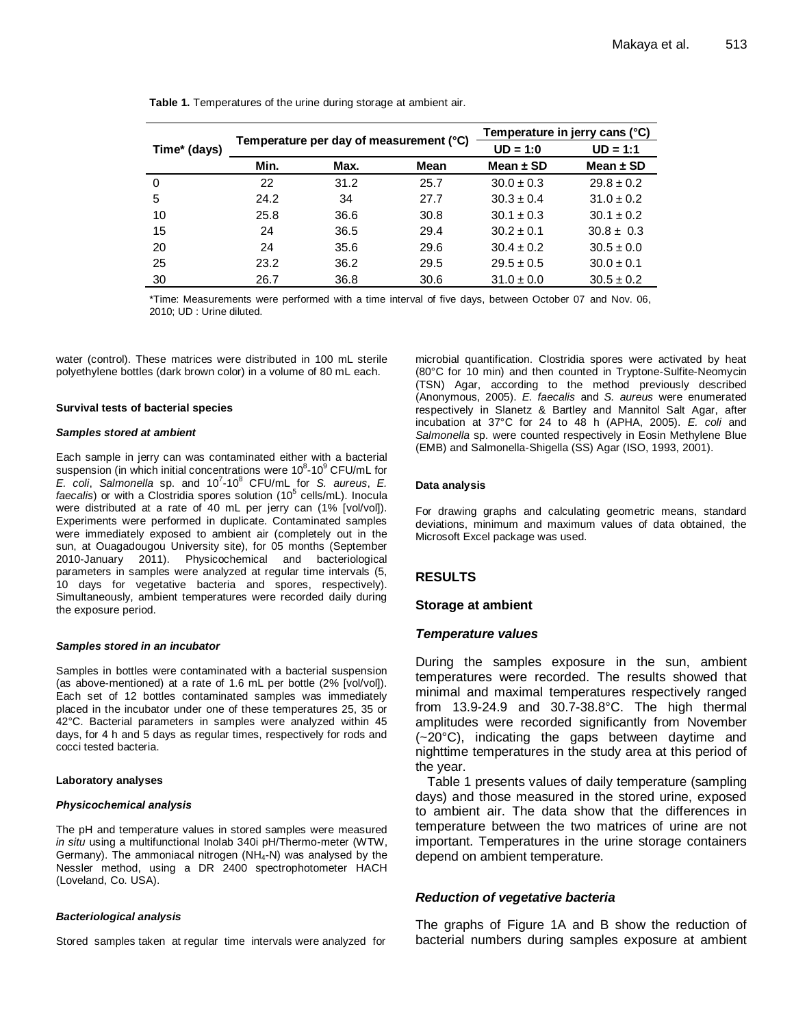|              |      |                                         | Temperature in jerry cans (°C) |                |                |  |  |
|--------------|------|-----------------------------------------|--------------------------------|----------------|----------------|--|--|
| Time* (days) |      | Temperature per day of measurement (°C) | $UD = 1:0$                     | $UD = 1:1$     |                |  |  |
|              | Min. | Max.                                    | Mean                           | Mean $\pm$ SD  | Mean $\pm$ SD  |  |  |
| $\mathbf 0$  | 22   | 31.2                                    | 25.7                           | $30.0 \pm 0.3$ | $29.8 \pm 0.2$ |  |  |
| 5            | 24.2 | 34                                      | 27.7                           | $30.3 \pm 0.4$ | $31.0 \pm 0.2$ |  |  |
| 10           | 25.8 | 36.6                                    | 30.8                           | $30.1 \pm 0.3$ | $30.1 \pm 0.2$ |  |  |
| 15           | 24   | 36.5                                    | 29.4                           | $30.2 \pm 0.1$ | $30.8 \pm 0.3$ |  |  |
| 20           | 24   | 35.6                                    | 29.6                           | $30.4 \pm 0.2$ | $30.5 \pm 0.0$ |  |  |
| 25           | 23.2 | 36.2                                    | 29.5                           | $29.5 \pm 0.5$ | $30.0 \pm 0.1$ |  |  |
| 30           | 26.7 | 36.8                                    | 30.6                           | $31.0 \pm 0.0$ | $30.5 \pm 0.2$ |  |  |

**Table 1.** Temperatures of the urine during storage at ambient air.

\*Time: Measurements were performed with a time interval of five days, between October 07 and Nov. 06, 2010; UD : Urine diluted.

water (control). These matrices were distributed in 100 mL sterile polyethylene bottles (dark brown color) in a volume of 80 mL each.

#### **Survival tests of bacterial species**

#### *Samples stored at ambient*

Each sample in jerry can was contaminated either with a bacterial suspension (in which initial concentrations were 10<sup>8</sup>-10<sup>9</sup> CFU/mL for *E. coli*, *Salmonella* sp. and 10<sup>7</sup> -10<sup>8</sup> CFU/mL for *S. aureus*, *E.*  faecalis) or with a Clostridia spores solution (10<sup>5</sup> cells/mL). Inocula were distributed at a rate of 40 mL per jerry can (1% [vol/vol]). Experiments were performed in duplicate. Contaminated samples were immediately exposed to ambient air (completely out in the sun, at Ouagadougou University site), for 05 months (September 2010-January 2011). Physicochemical and bacteriological parameters in samples were analyzed at regular time intervals (5, 10 days for vegetative bacteria and spores, respectively). Simultaneously, ambient temperatures were recorded daily during the exposure period.

### *Samples stored in an incubator*

Samples in bottles were contaminated with a bacterial suspension (as above-mentioned) at a rate of 1.6 mL per bottle (2% [vol/vol]). Each set of 12 bottles contaminated samples was immediately placed in the incubator under one of these temperatures 25, 35 or 42°C. Bacterial parameters in samples were analyzed within 45 days, for 4 h and 5 days as regular times, respectively for rods and cocci tested bacteria.

#### **Laboratory analyses**

#### *Physicochemical analysis*

The pH and temperature values in stored samples were measured *in situ* using a multifunctional Inolab 340i pH/Thermo-meter (WTW, Germany). The ammoniacal nitrogen (NH4-N) was analysed by the Nessler method, using a DR 2400 spectrophotometer HACH (Loveland, Co. USA).

#### *Bacteriological analysis*

Stored samples taken at regular time intervals were analyzed for

microbial quantification. Clostridia spores were activated by heat (80°C for 10 min) and then counted in Tryptone-Sulfite-Neomycin (TSN) Agar, according to the method previously described (Anonymous, 2005). *E. faecalis* and *S. aureus* were enumerated respectively in Slanetz & Bartley and Mannitol Salt Agar, after incubation at 37°C for 24 to 48 h (APHA, 2005). *E. coli* and *Salmonella* sp. were counted respectively in Eosin Methylene Blue (EMB) and Salmonella-Shigella (SS) Agar (ISO, 1993, 2001).

#### **Data analysis**

For drawing graphs and calculating geometric means, standard deviations, minimum and maximum values of data obtained, the Microsoft Excel package was used.

# **RESULTS**

# **Storage at ambient**

#### *Temperature values*

During the samples exposure in the sun, ambient temperatures were recorded. The results showed that minimal and maximal temperatures respectively ranged from 13.9-24.9 and 30.7-38.8°C. The high thermal amplitudes were recorded significantly from November (~20°C), indicating the gaps between daytime and nighttime temperatures in the study area at this period of the year.

Table 1 presents values of daily temperature (sampling days) and those measured in the stored urine, exposed to ambient air. The data show that the differences in temperature between the two matrices of urine are not important. Temperatures in the urine storage containers depend on ambient temperature.

# *Reduction of vegetative bacteria*

The graphs of Figure 1A and B show the reduction of bacterial numbers during samples exposure at ambient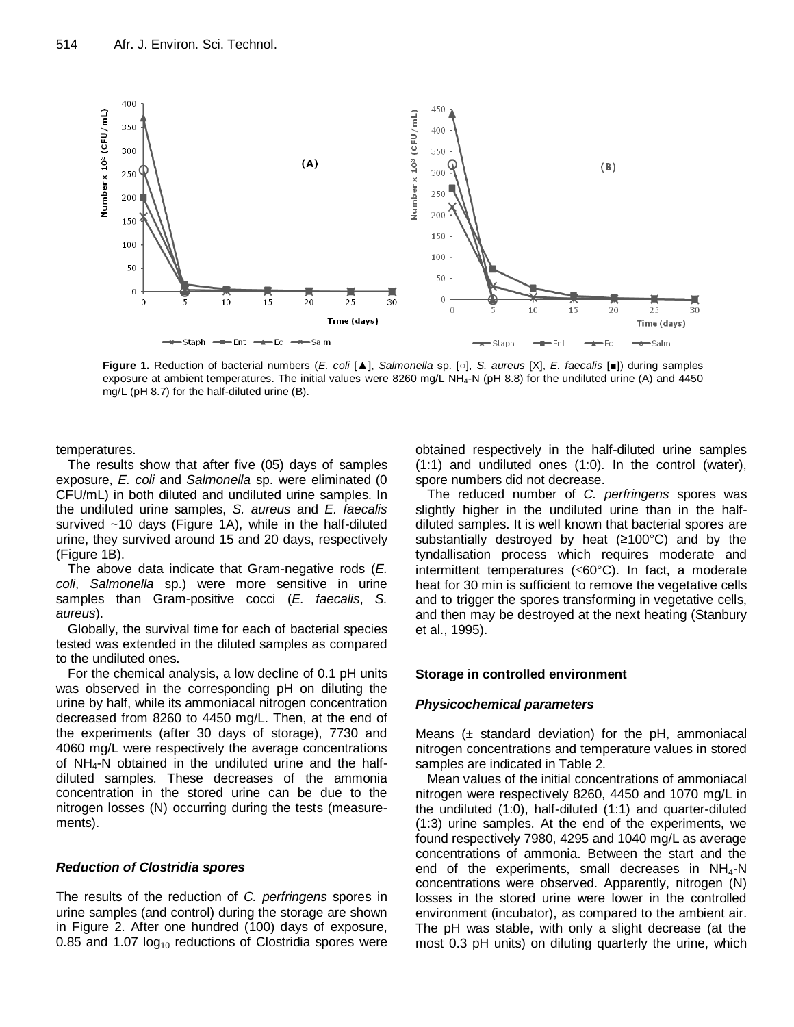

**Figure 1.** Reduction of bacterial numbers (*E. coli* [▲], *Salmonella* sp. [○], *S. aureus* [X], *E. faecalis* [■]) during samples exposure at ambient temperatures. The initial values were 8260 mg/L NH4-N (pH 8.8) for the undiluted urine (A) and 4450 mg/L (pH 8.7) for the half-diluted urine (B).

temperatures.

The results show that after five (05) days of samples exposure, *E. coli* and *Salmonella* sp. were eliminated (0 CFU/mL) in both diluted and undiluted urine samples. In the undiluted urine samples, *S. aureus* and *E. faecalis* survived ~10 days (Figure 1A), while in the half-diluted urine, they survived around 15 and 20 days, respectively (Figure 1B).

The above data indicate that Gram-negative rods (*E. coli*, *Salmonella* sp.) were more sensitive in urine samples than Gram-positive cocci (*E. faecalis*, *S. aureus*).

Globally, the survival time for each of bacterial species tested was extended in the diluted samples as compared to the undiluted ones.

For the chemical analysis, a low decline of 0.1 pH units was observed in the corresponding pH on diluting the urine by half, while its ammoniacal nitrogen concentration decreased from 8260 to 4450 mg/L. Then, at the end of the experiments (after 30 days of storage), 7730 and 4060 mg/L were respectively the average concentrations of NH4-N obtained in the undiluted urine and the halfdiluted samples. These decreases of the ammonia concentration in the stored urine can be due to the nitrogen losses (N) occurring during the tests (measurements).

# *Reduction of Clostridia spores*

The results of the reduction of *C. perfringens* spores in urine samples (and control) during the storage are shown in Figure 2. After one hundred (100) days of exposure, 0.85 and 1.07  $log_{10}$  reductions of Clostridia spores were obtained respectively in the half-diluted urine samples (1:1) and undiluted ones (1:0). In the control (water), spore numbers did not decrease.

The reduced number of *C. perfringens* spores was slightly higher in the undiluted urine than in the halfdiluted samples. It is well known that bacterial spores are substantially destroyed by heat (≥100°C) and by the tyndallisation process which requires moderate and intermittent temperatures ( $\leq 60^{\circ}$ C). In fact, a moderate heat for 30 min is sufficient to remove the vegetative cells and to trigger the spores transforming in vegetative cells, and then may be destroyed at the next heating (Stanbury et al., 1995).

#### **Storage in controlled environment**

#### *Physicochemical parameters*

Means  $(\pm$  standard deviation) for the pH, ammoniacal nitrogen concentrations and temperature values in stored samples are indicated in Table 2.

Mean values of the initial concentrations of ammoniacal nitrogen were respectively 8260, 4450 and 1070 mg/L in the undiluted (1:0), half-diluted (1:1) and quarter-diluted (1:3) urine samples. At the end of the experiments, we found respectively 7980, 4295 and 1040 mg/L as average concentrations of ammonia. Between the start and the end of the experiments, small decreases in  $NH_4-N$ concentrations were observed. Apparently, nitrogen (N) losses in the stored urine were lower in the controlled environment (incubator), as compared to the ambient air. The pH was stable, with only a slight decrease (at the most 0.3 pH units) on diluting quarterly the urine, which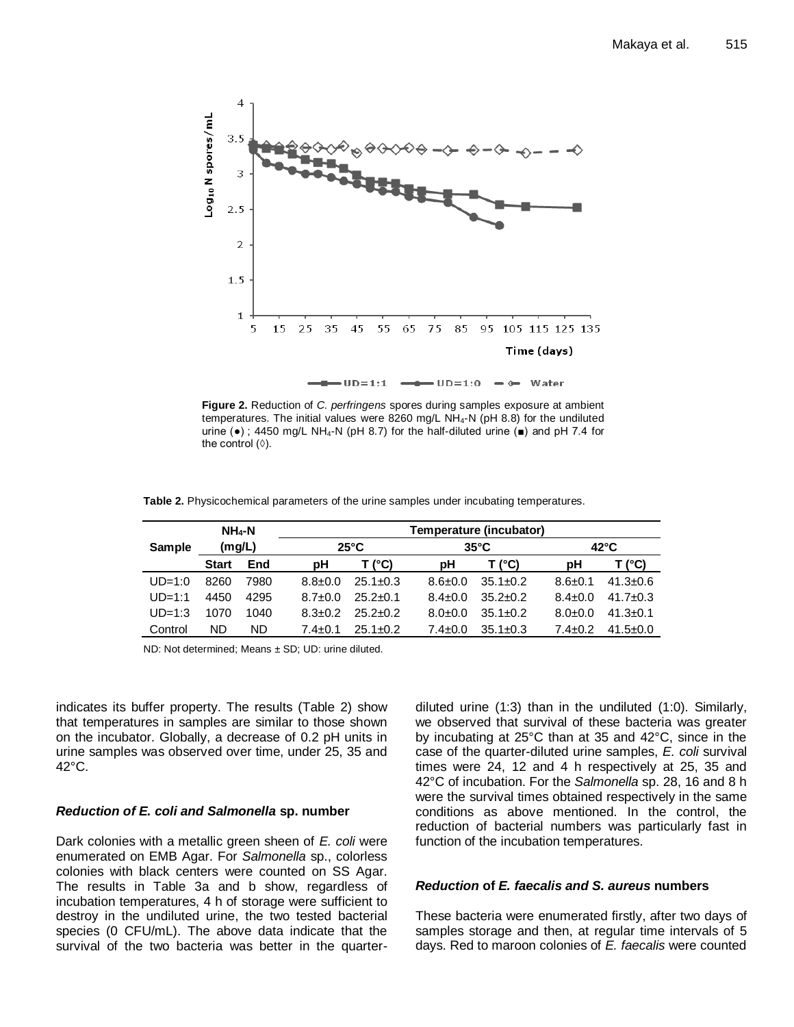

**Figure 2.** Reduction of *C. perfringens* spores during samples exposure at ambient temperatures. The initial values were 8260 mg/L  $NH<sub>4</sub>-N$  (pH 8.8) for the undiluted urine ( $\bullet$ ); 4450 mg/L NH<sub>4</sub>-N (pH 8.7) for the half-diluted urine ( $\bullet$ ) and pH 7.4 for the control  $($ 0 $).$ 

**Table 2.** Physicochemical parameters of the urine samples under incubating temperatures.

|          | $NH_4-N$<br>(mg/L) |      | Temperature (incubator) |                |               |                |               |                |  |  |  |  |
|----------|--------------------|------|-------------------------|----------------|---------------|----------------|---------------|----------------|--|--|--|--|
| Sample   |                    |      |                         | $25^{\circ}$ C |               | $35^{\circ}$ C |               | $42^{\circ}$ C |  |  |  |  |
|          | <b>Start</b>       | End  | рH                      | T (°C)         | рH            | T (°C)         | рH            | T (°C)         |  |  |  |  |
| $UD=1:0$ | 8260               | 7980 | $8.8 \pm 0.0$           | $25.1 + 0.3$   | $8.6 \pm 0.0$ | $35.1 \pm 0.2$ | $8.6 \pm 0.1$ | $41.3 \pm 0.6$ |  |  |  |  |
| $UD=1:1$ | 4450               | 4295 | $8.7 + 0.0$             | $25.2 + 0.1$   | $8.4 + 0.0$   | $35.2 + 0.2$   | $8.4 \pm 0.0$ | $41.7 + 0.3$   |  |  |  |  |
| $UD=1:3$ | 1070               | 1040 | $8.3 + 0.2$             | $25.2 + 0.2$   | $8.0 \pm 0.0$ | $35.1 + 0.2$   | $8.0 \pm 0.0$ | $41.3 \pm 0.1$ |  |  |  |  |
| Control  | ND                 | ND   | $7.4 \pm 0.1$           | $25.1 + 0.2$   | 7.4±0.0       | $35.1 \pm 0.3$ | $7.4 \pm 0.2$ | $41.5 \pm 0.0$ |  |  |  |  |

ND: Not determined; Means ± SD; UD: urine diluted.

indicates its buffer property. The results (Table 2) show that temperatures in samples are similar to those shown on the incubator. Globally, a decrease of 0.2 pH units in urine samples was observed over time, under 25, 35 and 42°C.

# *Reduction of E. coli and Salmonella* **sp. number**

Dark colonies with a metallic green sheen of *E. coli* were enumerated on EMB Agar. For *Salmonella* sp., colorless colonies with black centers were counted on SS Agar. The results in Table 3a and b show, regardless of incubation temperatures, 4 h of storage were sufficient to destroy in the undiluted urine, the two tested bacterial species (0 CFU/mL). The above data indicate that the survival of the two bacteria was better in the quarterdiluted urine (1:3) than in the undiluted (1:0). Similarly, we observed that survival of these bacteria was greater by incubating at 25°C than at 35 and 42°C, since in the case of the quarter-diluted urine samples, *E. coli* survival times were 24, 12 and 4 h respectively at 25, 35 and 42°C of incubation. For the *Salmonella* sp. 28, 16 and 8 h were the survival times obtained respectively in the same conditions as above mentioned. In the control, the reduction of bacterial numbers was particularly fast in function of the incubation temperatures.

# *Reduction* **of** *E. faecalis and S. aureus* **numbers**

These bacteria were enumerated firstly, after two days of samples storage and then, at regular time intervals of 5 days. Red to maroon colonies of *E. faecalis* were counted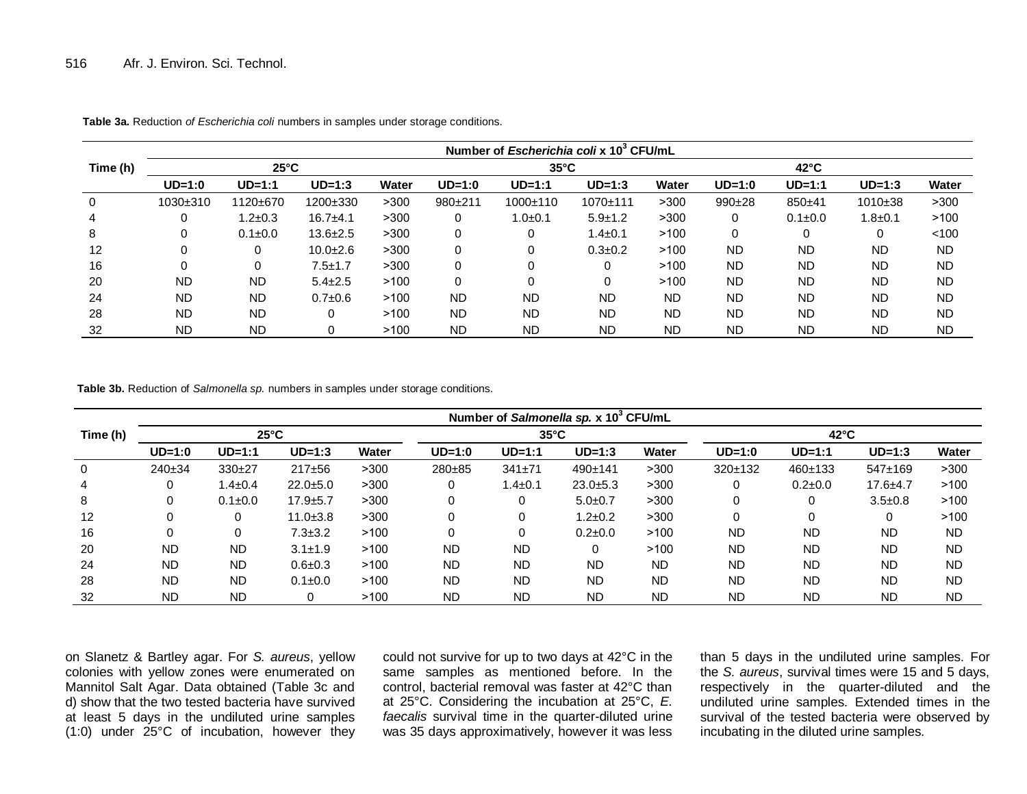|          | Number of Escherichia coli x 10 <sup>3</sup> CFU/mL |                |               |       |           |                |               |           |           |                |             |           |
|----------|-----------------------------------------------------|----------------|---------------|-------|-----------|----------------|---------------|-----------|-----------|----------------|-------------|-----------|
| Time (h) |                                                     | $25^{\circ}$ C |               |       |           | $35^{\circ}$ C |               |           |           | $42^{\circ}$ C |             |           |
|          | $UD=1:0$                                            | $UD=1:1$       | $UD=1:3$      | Water | $UD=1:0$  | $UD=1:1$       | $UD=1:3$      | Water     | $UD=1:0$  | $UD=1:1$       | $UD=1:3$    | Water     |
|          | 1030±310                                            | 1120±670       | 1200±330      | >300  | 980±211   | 1000±110       | 1070±111      | >300      | $990+28$  | 850±41         | $1010+38$   | >300      |
| 4        | 0                                                   | $.2 \pm 0.3$   | $16.7 + 4.1$  | >300  | 0         | $1.0 + 0.1$    | $5.9 \pm 1.2$ | >300      |           | $0.1 \pm 0.0$  | $1.8 + 0.1$ | >100      |
| 8        | 0                                                   | $0.1 \pm 0.0$  | $13.6 + 2.5$  | >300  | 0         | 0              | $1.4 \pm 0.1$ | >100      |           |                | 0           | < 100     |
| 12       | 0                                                   | $\Omega$       | $10.0+2.6$    | >300  | 0         | 0              | $0.3 \pm 0.2$ | >100      | <b>ND</b> | <b>ND</b>      | <b>ND</b>   | <b>ND</b> |
| 16       | 0                                                   | $\Omega$       | $7.5 + 1.7$   | >300  | 0         | 0              | 0             | >100      | <b>ND</b> | <b>ND</b>      | <b>ND</b>   | <b>ND</b> |
| 20       | <b>ND</b>                                           | <b>ND</b>      | $5.4 \pm 2.5$ | >100  | 0         | 0              | 0             | >100      | <b>ND</b> | <b>ND</b>      | <b>ND</b>   | <b>ND</b> |
| 24       | <b>ND</b>                                           | <b>ND</b>      | $0.7+0.6$     | >100  | <b>ND</b> | <b>ND</b>      | <b>ND</b>     | <b>ND</b> | <b>ND</b> | <b>ND</b>      | <b>ND</b>   | <b>ND</b> |
| 28       | <b>ND</b>                                           | <b>ND</b>      | 0             | >100  | <b>ND</b> | <b>ND</b>      | <b>ND</b>     | <b>ND</b> | <b>ND</b> | <b>ND</b>      | <b>ND</b>   | <b>ND</b> |
| 32       | <b>ND</b>                                           | <b>ND</b>      | 0             | >100  | <b>ND</b> | <b>ND</b>      | <b>ND</b>     | <b>ND</b> | <b>ND</b> | <b>ND</b>      | <b>ND</b>   | <b>ND</b> |

**Table 3a.** Reduction *of Escherichia coli* numbers in samples under storage conditions.

**Table 3b.** Reduction of *Salmonella sp.* numbers in samples under storage conditions.

|          | Number of Salmonella sp. x 10 <sup>3</sup> CFU/mL |                |                |       |           |                |               |           |           |                |               |           |  |
|----------|---------------------------------------------------|----------------|----------------|-------|-----------|----------------|---------------|-----------|-----------|----------------|---------------|-----------|--|
| Time (h) |                                                   | $25^{\circ}$ C |                |       |           | $35^{\circ}$ C |               |           |           | $42^{\circ}$ C |               |           |  |
|          | $UD=1:0$                                          | $UD=1:1$       | $UD=1:3$       | Water | $UD=1:0$  | $UD=1:1$       | $UD=1:3$      | Water     | $UD=1:0$  | $UD=1:1$       | $UD=1:3$      | Water     |  |
| $\Omega$ | 240±34                                            | $330+27$       | $217+56$       | >300  | 280±85    | 341±71         | 490±141       | >300      | 320±132   | 460±133        | 547±169       | >300      |  |
| 4        |                                                   | $1.4 \pm 0.4$  | $22.0 + 5.0$   | >300  |           | $1.4 \pm 0.1$  | $23.0 + 5.3$  | >300      | 0         | $0.2 \pm 0.0$  | $17.6 + 4.7$  | >100      |  |
| 8        |                                                   | $0.1 \pm 0.0$  | $17.9 + 5.7$   | >300  |           |                | $5.0 + 0.7$   | >300      | 0         | 0              | $3.5 \pm 0.8$ | >100      |  |
| 12       |                                                   | 0              | $11.0 \pm 3.8$ | >300  |           |                | $1.2 \pm 0.2$ | >300      | 0         | 0              | 0             | >100      |  |
| 16       |                                                   | 0              | $7.3 \pm 3.2$  | >100  |           |                | $0.2 \pm 0.0$ | >100      | <b>ND</b> | <b>ND</b>      | <b>ND</b>     | <b>ND</b> |  |
| 20       | <b>ND</b>                                         | <b>ND</b>      | $3.1 \pm 1.9$  | >100  | <b>ND</b> | <b>ND</b>      | 0             | >100      | <b>ND</b> | <b>ND</b>      | <b>ND</b>     | <b>ND</b> |  |
| 24       | <b>ND</b>                                         | <b>ND</b>      | $0.6 \pm 0.3$  | >100  | <b>ND</b> | <b>ND</b>      | <b>ND</b>     | <b>ND</b> | <b>ND</b> | <b>ND</b>      | <b>ND</b>     | <b>ND</b> |  |
| 28       | <b>ND</b>                                         | <b>ND</b>      | $0.1 \pm 0.0$  | >100  | <b>ND</b> | <b>ND</b>      | <b>ND</b>     | <b>ND</b> | <b>ND</b> | <b>ND</b>      | <b>ND</b>     | <b>ND</b> |  |
| 32       | <b>ND</b>                                         | <b>ND</b>      | 0              | >100  | <b>ND</b> | <b>ND</b>      | ND            | <b>ND</b> | <b>ND</b> | <b>ND</b>      | <b>ND</b>     | <b>ND</b> |  |

on Slanetz & Bartley agar. For *S. aureus*, yellow colonies with yellow zones were enumerated on Mannitol Salt Agar. Data obtained (Table 3c and d) show that the two tested bacteria have survived at least 5 days in the undiluted urine samples (1:0) under 25°C of incubation, however they could not survive for up to two days at 42°C in the same samples as mentioned before. In the control, bacterial removal was faster at 42°C than at 25°C. Considering the incubation at 25°C, *E. faecalis* survival time in the quarter-diluted urine was 35 days approximatively, however it was less than 5 days in the undiluted urine samples. For the *S. aureus*, survival times were 15 and 5 days, respectively in the quarter-diluted and the undiluted urine samples. Extended times in the survival of the tested bacteria were observed by incubating in the diluted urine samples.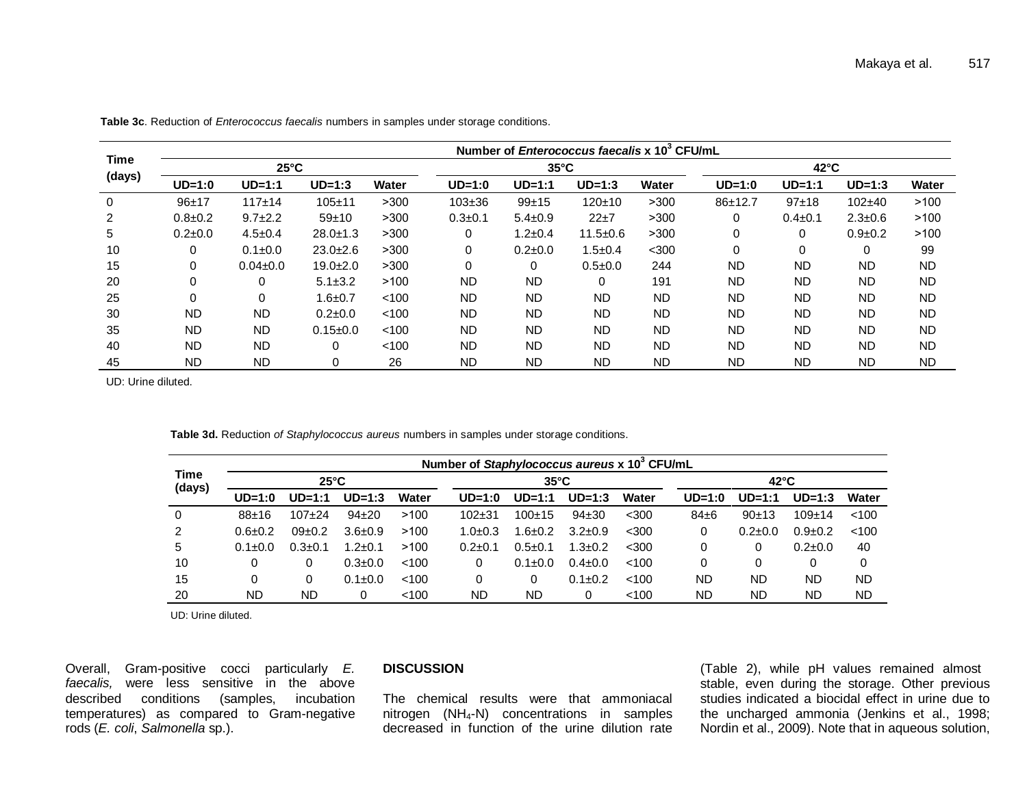| <b>Time</b><br>(days) | Number of <i>Enterococcus faecalis</i> x 10 <sup>3</sup> CFU/mL |                |                |       |               |                |                |              |           |                |               |           |  |
|-----------------------|-----------------------------------------------------------------|----------------|----------------|-------|---------------|----------------|----------------|--------------|-----------|----------------|---------------|-----------|--|
|                       |                                                                 | $25^{\circ}$ C |                |       |               | $35^{\circ}$ C |                |              |           | $42^{\circ}$ C |               |           |  |
|                       | $UD=1:0$                                                        | $UD=1:1$       | $UD=1:3$       | Water | $UD=1:0$      | $UD=1:1$       | $UD=1:3$       | <b>Water</b> | $UD=1:0$  | $UD=1:1$       | $UD=1:3$      | Water     |  |
| 0                     | $96+17$                                                         | $117 + 14$     | $105 + 11$     | >300  | $103 + 36$    | $99 + 15$      | $120+10$       | >300         | 86±12.7   | $97+18$        | $102 + 40$    | >100      |  |
| $\overline{2}$        | $0.8 + 0.2$                                                     | $9.7 \pm 2.2$  | $59+10$        | >300  | $0.3 \pm 0.1$ | $5.4 \pm 0.9$  | $22 + 7$       | >300         | 0         | $0.4 \pm 0.1$  | $2.3 \pm 0.6$ | >100      |  |
| 5                     | $0.2 \pm 0.0$                                                   | $4.5 \pm 0.4$  | $28.0 \pm 1.3$ | >300  | 0             | $1.2 \pm 0.4$  | $11.5 \pm 0.6$ | >300         | 0         | 0              | $0.9 + 0.2$   | >100      |  |
| 10                    | 0                                                               | $0.1 \pm 0.0$  | $23.0+2.6$     | >300  | 0             | $0.2 \pm 0.0$  | $1.5 + 0.4$    | $300$        | 0         | $\Omega$       | 0             | 99        |  |
| 15                    | 0                                                               | $0.04 \pm 0.0$ | $19.0 + 2.0$   | >300  | 0             | 0              | $0.5 \pm 0.0$  | 244          | <b>ND</b> | <b>ND</b>      | <b>ND</b>     | <b>ND</b> |  |
| 20                    | 0                                                               | 0              | $5.1 \pm 3.2$  | >100  | <b>ND</b>     | <b>ND</b>      | 0              | 191          | <b>ND</b> | <b>ND</b>      | <b>ND</b>     | <b>ND</b> |  |
| 25                    | 0                                                               | 0              | $1.6 + 0.7$    | < 100 | <b>ND</b>     | <b>ND</b>      | <b>ND</b>      | <b>ND</b>    | <b>ND</b> | <b>ND</b>      | <b>ND</b>     | <b>ND</b> |  |
| 30                    | <b>ND</b>                                                       | <b>ND</b>      | $0.2{\pm}0.0$  | < 100 | <b>ND</b>     | <b>ND</b>      | <b>ND</b>      | <b>ND</b>    | <b>ND</b> | <b>ND</b>      | <b>ND</b>     | <b>ND</b> |  |
| 35                    | <b>ND</b>                                                       | <b>ND</b>      | $0.15 \pm 0.0$ | < 100 | <b>ND</b>     | <b>ND</b>      | <b>ND</b>      | <b>ND</b>    | <b>ND</b> | <b>ND</b>      | <b>ND</b>     | <b>ND</b> |  |
| 40                    | <b>ND</b>                                                       | <b>ND</b>      | 0              | < 100 | <b>ND</b>     | <b>ND</b>      | <b>ND</b>      | <b>ND</b>    | <b>ND</b> | <b>ND</b>      | <b>ND</b>     | <b>ND</b> |  |
| 45                    | <b>ND</b>                                                       | <b>ND</b>      | 0              | 26    | <b>ND</b>     | <b>ND</b>      | <b>ND</b>      | <b>ND</b>    | <b>ND</b> | <b>ND</b>      | <b>ND</b>     | <b>ND</b> |  |

**Table 3c**. Reduction of *Enterococcus faecalis* numbers in samples under storage conditions.

UD: Urine diluted.

**Table 3d.** Reduction *of Staphylococcus aureus* numbers in samples under storage conditions.

| Time<br>(days) | Number of Staphylococcus aureus x 10° CFU/mL |               |               |       |               |                |               |         |          |                |               |           |  |
|----------------|----------------------------------------------|---------------|---------------|-------|---------------|----------------|---------------|---------|----------|----------------|---------------|-----------|--|
|                | $25^{\circ}$ C                               |               |               |       |               | $35^{\circ}$ C |               |         |          | $42^{\circ}$ C |               |           |  |
|                | $UD=1:0$                                     | $UD=1:1$      | $UD=1:3$      | Water | $UD=1:0$      | $UD=1:1$       | $UD=1:3$      | Water   | $UD=1:0$ | $UD=1:1$       | $UD=1:3$      | Water     |  |
| $\mathbf 0$    | $88 + 16$                                    | $107 + 24$    | $94\pm20$     | >100  | 102±31        | $100+15$       | $94\pm30$     | $<$ 300 | 84±6     | 90±13          | $109 + 14$    | < 100     |  |
| 2              | $0.6 + 0.2$                                  | $09 \pm 0.2$  | $3.6 \pm 0.9$ | >100  | $1.0 \pm 0.3$ | $.6 \pm 0.2$   | $3.2 + 0.9$   | $300$   | 0        | $0.2 \pm 0.0$  | $0.9+0.2$     | < 100     |  |
| 5              | $0.1 \pm 0.0$                                | $0.3 \pm 0.1$ | $.2 \pm 0.1$  | >100  | $0.2 \pm 0.1$ | $0.5 \pm 0.1$  | $1.3 \pm 0.2$ | $<$ 300 | 0        | 0              | $0.2 \pm 0.0$ | 40        |  |
| 10             | 0                                            | 0             | $0.3 \pm 0.0$ | < 100 | 0             | $0.1 \pm 0.0$  | $0.4 \pm 0.0$ | < 100   | 0        | 0              |               | 0         |  |
| 15             | 0                                            | 0             | $0.1 \pm 0.0$ | < 100 | 0             |                | $0.1 \pm 0.2$ | < 100   | ND       | <b>ND</b>      | <b>ND</b>     | <b>ND</b> |  |
| 20             | <b>ND</b>                                    | <b>ND</b>     | 0             | < 100 | ND            | <b>ND</b>      | 0             | < 100   | ND       | <b>ND</b>      | <b>ND</b>     | <b>ND</b> |  |

UD: Urine diluted.

Overall, Gram-positive cocci particularly *E. faecalis,* were less sensitive in the above described conditions (samples, incubation temperatures) as compared to Gram-negative rods (*E. coli*, *Salmonella* sp.).

# **DISCUSSION**

The chemical results were that ammoniacal nitrogen (NH4-N) concentrations in samples decreased in function of the urine dilution rate

(Table 2), while pH values remained almost stable, even during the storage. Other previous studies indicated a biocidal effect in urine due to the uncharged ammonia (Jenkins et al., 1998; Nordin et al., 2009). Note that in aqueous solution,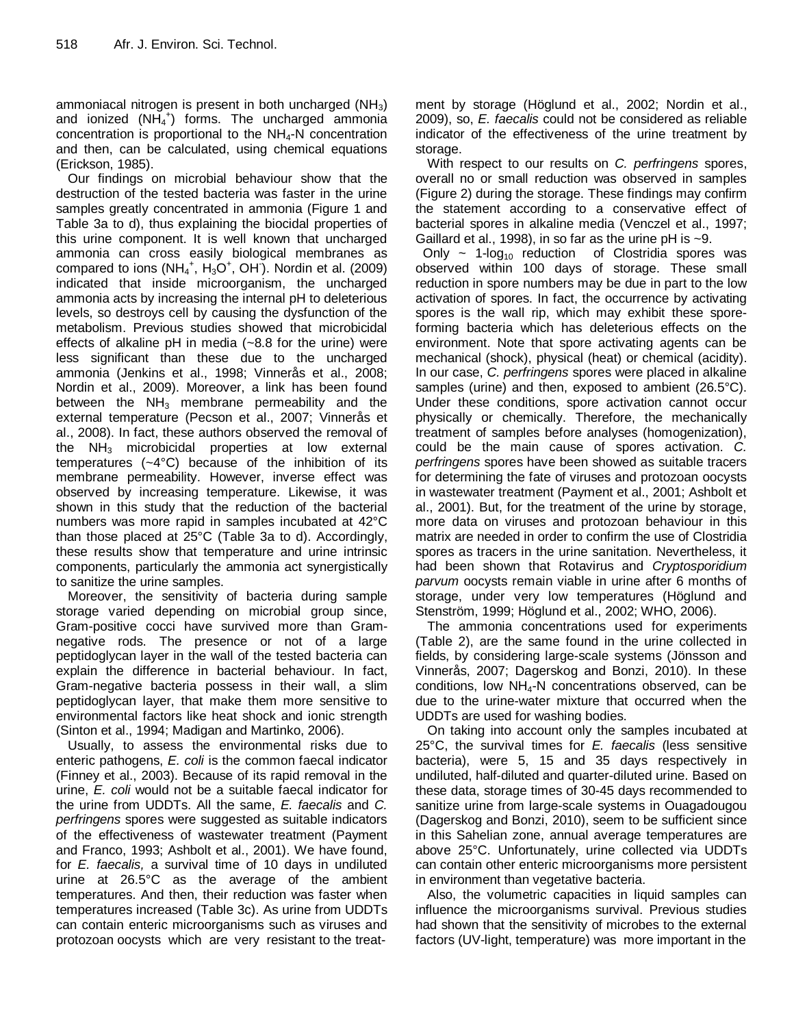ammoniacal nitrogen is present in both uncharged  $(NH_3)$ and ionized (NH<sub>4</sub><sup>+</sup>) forms. The uncharged ammonia concentration is proportional to the  $NH<sub>4</sub>-N$  concentration and then, can be calculated, using chemical equations (Erickson, 1985).

Our findings on microbial behaviour show that the destruction of the tested bacteria was faster in the urine samples greatly concentrated in ammonia (Figure 1 and Table 3a to d), thus explaining the biocidal properties of this urine component. It is well known that uncharged ammonia can cross easily biological membranes as compared to ions (NH<sub>4</sub><sup>+</sup>, H<sub>3</sub>O<sup>+</sup>, OH). Nordin et al. (2009) indicated that inside microorganism, the uncharged ammonia acts by increasing the internal pH to deleterious levels, so destroys cell by causing the dysfunction of the metabolism. Previous studies showed that microbicidal effects of alkaline pH in media (~8.8 for the urine) were less significant than these due to the uncharged ammonia (Jenkins et al., 1998; Vinnerås et al., 2008; Nordin et al., 2009). Moreover, a link has been found between the  $NH<sub>3</sub>$  membrane permeability and the external temperature (Pecson et al., 2007; Vinnerås et al., 2008). In fact, these authors observed the removal of the  $NH<sub>3</sub>$  microbicidal properties at low external temperatures (~4°C) because of the inhibition of its membrane permeability. However, inverse effect was observed by increasing temperature. Likewise, it was shown in this study that the reduction of the bacterial numbers was more rapid in samples incubated at 42°C than those placed at 25°C (Table 3a to d). Accordingly, these results show that temperature and urine intrinsic components, particularly the ammonia act synergistically to sanitize the urine samples.

Moreover, the sensitivity of bacteria during sample storage varied depending on microbial group since, Gram-positive cocci have survived more than Gramnegative rods. The presence or not of a large peptidoglycan layer in the wall of the tested bacteria can explain the difference in bacterial behaviour. In fact, Gram-negative bacteria possess in their wall, a slim peptidoglycan layer, that make them more sensitive to environmental factors like heat shock and ionic strength (Sinton et al., 1994; Madigan and Martinko, 2006).

Usually, to assess the environmental risks due to enteric pathogens, *E. coli* is the common faecal indicator (Finney et al., 2003). Because of its rapid removal in the urine, *E. coli* would not be a suitable faecal indicator for the urine from UDDTs. All the same, *E. faecalis* and *C. perfringens* spores were suggested as suitable indicators of the effectiveness of wastewater treatment (Payment and Franco, 1993; Ashbolt et al., 2001). We have found, for *E. faecalis,* a survival time of 10 days in undiluted urine at 26.5°C as the average of the ambient temperatures. And then, their reduction was faster when temperatures increased (Table 3c). As urine from UDDTs can contain enteric microorganisms such as viruses and protozoan oocysts which are very resistant to the treatment by storage (Höglund et al., 2002; Nordin et al., 2009), so, *E. faecalis* could not be considered as reliable indicator of the effectiveness of the urine treatment by storage.

With respect to our results on *C. perfringens* spores, overall no or small reduction was observed in samples (Figure 2) during the storage. These findings may confirm the statement according to a conservative effect of bacterial spores in alkaline media (Venczel et al., 1997; Gaillard et al., 1998), in so far as the urine pH is  $\sim$ 9.

Only  $\sim$  1-log<sub>10</sub> reduction of Clostridia spores was observed within 100 days of storage. These small reduction in spore numbers may be due in part to the low activation of spores. In fact, the occurrence by activating spores is the wall rip, which may exhibit these sporeforming bacteria which has deleterious effects on the environment. Note that spore activating agents can be mechanical (shock), physical (heat) or chemical (acidity). In our case, *C. perfringens* spores were placed in alkaline samples (urine) and then, exposed to ambient (26.5°C). Under these conditions, spore activation cannot occur physically or chemically. Therefore, the mechanically treatment of samples before analyses (homogenization), could be the main cause of spores activation. *C. perfringens* spores have been showed as suitable tracers for determining the fate of viruses and protozoan oocysts in wastewater treatment (Payment et al., 2001; Ashbolt et al., 2001). But, for the treatment of the urine by storage, more data on viruses and protozoan behaviour in this matrix are needed in order to confirm the use of Clostridia spores as tracers in the urine sanitation. Nevertheless, it had been shown that Rotavirus and *Cryptosporidium parvum* oocysts remain viable in urine after 6 months of storage, under very low temperatures (Höglund and Stenström, 1999; Höglund et al., 2002; WHO, 2006).

The ammonia concentrations used for experiments (Table 2), are the same found in the urine collected in fields, by considering large-scale systems (Jönsson and Vinnerås, 2007; Dagerskog and Bonzi, 2010). In these conditions, low  $NH<sub>4</sub>-N$  concentrations observed, can be due to the urine-water mixture that occurred when the UDDTs are used for washing bodies.

On taking into account only the samples incubated at 25°C, the survival times for *E. faecalis* (less sensitive bacteria), were 5, 15 and 35 days respectively in undiluted, half-diluted and quarter-diluted urine. Based on these data, storage times of 30-45 days recommended to sanitize urine from large-scale systems in Ouagadougou (Dagerskog and Bonzi, 2010), seem to be sufficient since in this Sahelian zone, annual average temperatures are above 25°C. Unfortunately, urine collected via UDDTs can contain other enteric microorganisms more persistent in environment than vegetative bacteria.

Also, the volumetric capacities in liquid samples can influence the microorganisms survival. Previous studies had shown that the sensitivity of microbes to the external factors (UV-light, temperature) was more important in the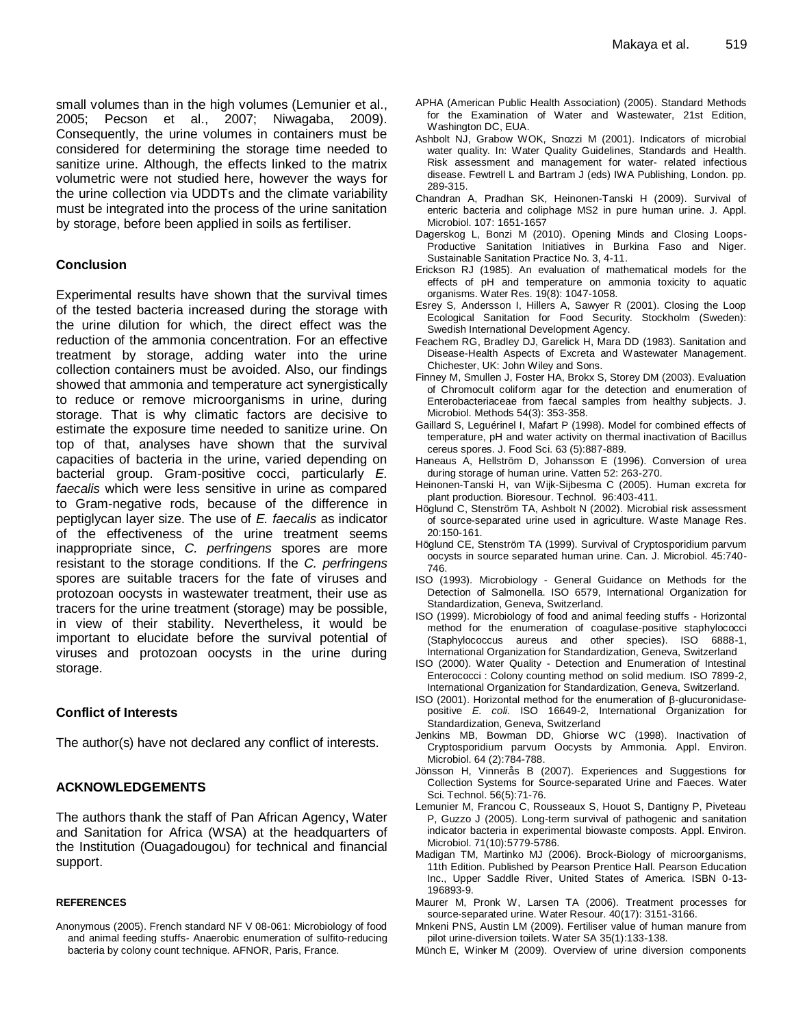small volumes than in the high volumes (Lemunier et al., 2005; Pecson et al., 2007; Niwagaba, 2009). Consequently, the urine volumes in containers must be considered for determining the storage time needed to sanitize urine. Although, the effects linked to the matrix volumetric were not studied here, however the ways for the urine collection via UDDTs and the climate variability must be integrated into the process of the urine sanitation by storage, before been applied in soils as fertiliser.

# **Conclusion**

Experimental results have shown that the survival times of the tested bacteria increased during the storage with the urine dilution for which, the direct effect was the reduction of the ammonia concentration. For an effective treatment by storage, adding water into the urine collection containers must be avoided. Also, our findings showed that ammonia and temperature act synergistically to reduce or remove microorganisms in urine, during storage. That is why climatic factors are decisive to estimate the exposure time needed to sanitize urine. On top of that, analyses have shown that the survival capacities of bacteria in the urine, varied depending on bacterial group. Gram-positive cocci, particularly *E. faecalis* which were less sensitive in urine as compared to Gram-negative rods, because of the difference in peptiglycan layer size. The use of *E. faecalis* as indicator of the effectiveness of the urine treatment seems inappropriate since, *C. perfringens* spores are more resistant to the storage conditions. If the *C. perfringens* spores are suitable tracers for the fate of viruses and protozoan oocysts in wastewater treatment, their use as tracers for the urine treatment (storage) may be possible, in view of their stability. Nevertheless, it would be important to elucidate before the survival potential of viruses and protozoan oocysts in the urine during storage.

# **Conflict of Interests**

The author(s) have not declared any conflict of interests.

# **ACKNOWLEDGEMENTS**

The authors thank the staff of Pan African Agency, Water and Sanitation for Africa (WSA) at the headquarters of the Institution (Ouagadougou) for technical and financial support.

#### **REFERENCES**

Anonymous (2005). French standard NF V 08-061: Microbiology of food and animal feeding stuffs- Anaerobic enumeration of sulfito-reducing bacteria by colony count technique. AFNOR, Paris, France.

- APHA (American Public Health Association) (2005). Standard Methods for the Examination of Water and Wastewater, 21st Edition, Washington DC, EUA.
- Ashbolt NJ, Grabow WOK, Snozzi M (2001). Indicators of microbial water quality. In: Water Quality Guidelines, Standards and Health. Risk assessment and management for water- related infectious disease. Fewtrell L and Bartram J (eds) IWA Publishing, London. pp. 289-315.
- Chandran A, Pradhan SK, Heinonen-Tanski H (2009). Survival of enteric bacteria and coliphage MS2 in pure human urine. J. Appl. Microbiol. 107: 1651-1657
- Dagerskog L, Bonzi M (2010). Opening Minds and Closing Loops-Productive Sanitation Initiatives in Burkina Faso and Niger. Sustainable Sanitation Practice No. 3, 4-11.
- Erickson RJ (1985). An evaluation of mathematical models for the effects of pH and temperature on ammonia toxicity to aquatic organisms. Water Res. 19(8): 1047-1058.
- Esrey S, Andersson I, Hillers A, Sawyer R (2001). Closing the Loop Ecological Sanitation for Food Security. Stockholm (Sweden): Swedish International Development Agency.
- Feachem RG, Bradley DJ, Garelick H, Mara DD (1983). Sanitation and Disease-Health Aspects of Excreta and Wastewater Management. Chichester, UK: John Wiley and Sons.
- Finney M, Smullen J, Foster HA, Brokx S, Storey DM (2003). Evaluation of Chromocult coliform agar for the detection and enumeration of Enterobacteriaceae from faecal samples from healthy subjects. J. Microbiol. Methods 54(3): 353-358.
- Gaillard S, Leguérinel I, Mafart P (1998). Model for combined effects of temperature, pH and water activity on thermal inactivation of Bacillus cereus spores. J. Food Sci. 63 (5):887-889.
- Haneaus A, Hellström D, Johansson E (1996). Conversion of urea during storage of human urine. Vatten 52: 263-270.
- Heinonen-Tanski H, van Wijk-Sijbesma C (2005). Human excreta for plant production. Bioresour. Technol. 96:403-411.
- Höglund C, Stenström TA, Ashbolt N (2002). Microbial risk assessment of source-separated urine used in agriculture. Waste Manage Res. 20:150-161.
- Höglund CE, Stenström TA (1999). Survival of Cryptosporidium parvum oocysts in source separated human urine. Can. J. Microbiol. 45:740- 746.
- ISO (1993). Microbiology General Guidance on Methods for the Detection of Salmonella. ISO 6579, International Organization for Standardization, Geneva, Switzerland.
- ISO (1999). Microbiology of food and animal feeding stuffs Horizontal method for the enumeration of coagulase-positive staphylococci (Staphylococcus aureus and other species). ISO 6888-1, International Organization for Standardization, Geneva, Switzerland
- ISO (2000). Water Quality Detection and Enumeration of Intestinal Enterococci : Colony counting method on solid medium. ISO 7899-2, International Organization for Standardization, Geneva, Switzerland.
- ISO (2001). Horizontal method for the enumeration of β-glucuronidasepositive *E. coli*. ISO 16649-2, International Organization for Standardization, Geneva, Switzerland
- Jenkins MB, Bowman DD, Ghiorse WC (1998). Inactivation of Cryptosporidium parvum Oocysts by Ammonia. Appl. Environ. Microbiol. 64 (2):784-788.
- Jönsson H, Vinnerås B (2007). Experiences and Suggestions for Collection Systems for Source-separated Urine and Faeces. Water Sci. Technol. 56(5):71-76.
- Lemunier M, Francou C, Rousseaux S, Houot S, Dantigny P, Piveteau P, Guzzo J (2005). Long-term survival of pathogenic and sanitation indicator bacteria in experimental biowaste composts. Appl. Environ. Microbiol. 71(10):5779-5786.
- Madigan TM, Martinko MJ (2006). Brock-Biology of microorganisms, 11th Edition. Published by Pearson Prentice Hall. Pearson Education Inc., Upper Saddle River, United States of America. ISBN 0-13- 196893-9.
- Maurer M, Pronk W, Larsen TA (2006). Treatment processes for source-separated urine. Water Resour. 40(17): 3151-3166.
- Mnkeni PNS, Austin LM (2009). Fertiliser value of human manure from pilot urine-diversion toilets. Water SA 35(1):133-138.
- Münch E, Winker M (2009). Overview of urine diversion components